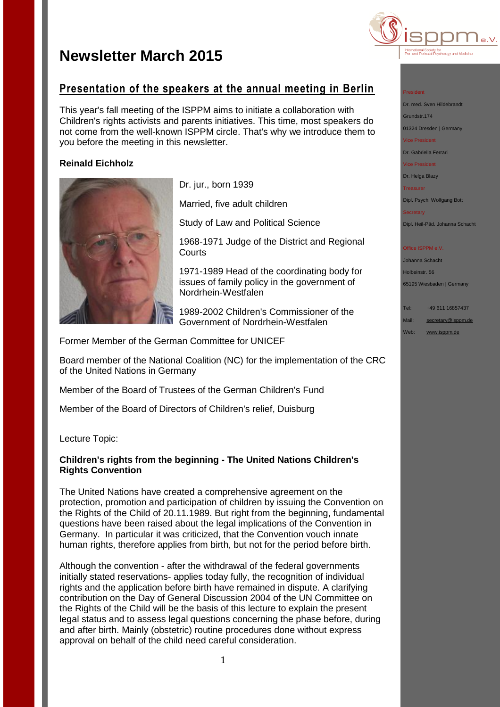## **Presentation of the speakers at the annual meeting in Berlin**

This year's fall meeting of the ISPPM aims to initiate a collaboration with Children's rights activists and parents initiatives. This time, most speakers do not come from the well-known ISPPM circle. That's why we introduce them to you before the meeting in this newsletter.

## **Reinald Eichholz**



Dr. jur., born 1939

Married, five adult children

Study of Law and Political Science

1968-1971 Judge of the District and Regional **Courts** 

1971-1989 Head of the coordinating body for issues of family policy in the government of Nordrhein-Westfalen

1989-2002 Children's Commissioner of the Government of Nordrhein-Westfalen

Former Member of the German Committee for UNICEF

Board member of the National Coalition (NC) for the implementation of the CRC of the United Nations in Germany

Member of the Board of Trustees of the German Children's Fund

Member of the Board of Directors of Children's relief, Duisburg

Lecture Topic:

## **Children's rights from the beginning - The United Nations Children's Rights Convention**

The United Nations have created a comprehensive agreement on the protection, promotion and participation of children by issuing the Convention on the Rights of the Child of 20.11.1989. But right from the beginning, fundamental questions have been raised about the legal implications of the Convention in Germany. In particular it was criticized, that the Convention vouch innate human rights, therefore applies from birth, but not for the period before birth.

Although the convention - after the withdrawal of the federal governments initially stated reservations- applies today fully, the recognition of individual rights and the application before birth have remained in dispute. A clarifying contribution on the Day of General Discussion 2004 of the UN Committee on the Rights of the Child will be the basis of this lecture to explain the present legal status and to assess legal questions concerning the phase before, during and after birth. Mainly (obstetric) routine procedures done without express approval on behalf of the child need careful consideration.



## President

Dr. med. Sven Hildebrandt

Grundstr.174

01324 Dresden | Germany

Vice President Dr. Gabriella Ferrari

Vice President

Dr. Helga Blazy

**Treasurer** 

Dipl. Psych. Wolfgang Bott

Secretary

Dipl. Heil-Päd. Johanna Schacht

### Office ISPPM e.V.

Johanna Schacht Holbeinstr. 56 65195 Wiesbaden | Germany

Tel: +49 611 16857437 Mail: [secretary@isppm.de](mailto:secretary@isppm.de) Web: [www.isppm.de](http://www.isppm.de/)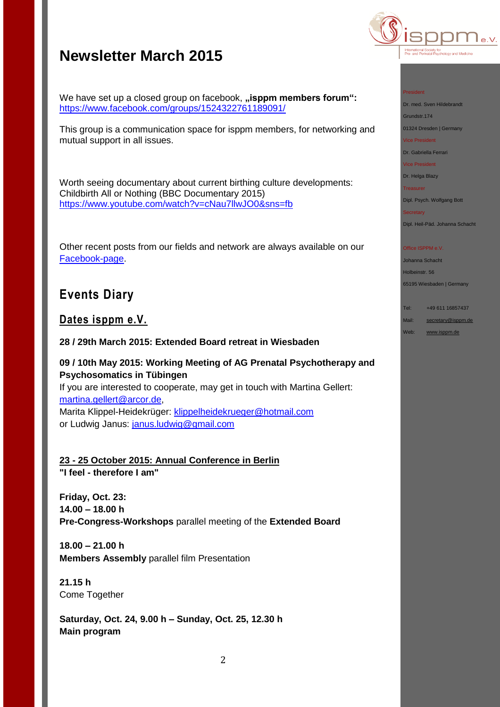

#### President

Dr. med. Sven Hildebrandt

Grundstr.174

01324 Dresden | Germany Vice President

Dr. Gabriella Ferrari

Vice President

Dr. Helga Blazy

**Treasurer** 

Dipl. Psych. Wolfgang Bott

**Secretary** 

Dipl. Heil-Päd. Johanna Schacht

### Office ISPPM e.V.

Johanna Schacht Holbeinstr. 56 65195 Wiesbaden | Germany

Tel: +49 611 16857437 Mail: [secretary@isppm.de](mailto:secretary@isppm.de)

Web: [www.isppm.de](http://www.isppm.de/)

We have set up a closed group on facebook, "isppm members forum": <https://www.facebook.com/groups/1524322761189091/>

This group is a communication space for isppm members, for networking and mutual support in all issues.

Worth seeing documentary about current birthing culture developments: Childbirth All or Nothing (BBC Documentary 2015) <https://www.youtube.com/watch?v=cNau7llwJO0&sns=fb>

Other recent posts from our fields and network are always available on our [Facebook-page.](https://www.facebook.com/pages/ISPPM-eV/124066644364106)

## **Events Diary**

## **Dates isppm e.V.**

**28 / 29th March 2015: Extended Board retreat in Wiesbaden**

**09 / 10th May 2015: Working Meeting of AG Prenatal Psychotherapy and Psychosomatics in Tübingen**

If you are interested to cooperate, may get in touch with Martina Gellert: [martina.gellert@arcor.de,](mailto:martina.gellert@arcor.de) Marita Klippel-Heidekrüger: [klippelheidekrueger@hotmail.com](mailto:klippelheidekrueger@hotmail.com) or Ludwig Janus: [janus.ludwig@gmail.com](mailto:janus.ludwig@gmail.com)

**23 - 25 October 2015: Annual Conference in Berlin "I feel - therefore I am"**

**Friday, Oct. 23: 14.00 – 18.00 h Pre-Congress-Workshops** parallel meeting of the **Extended Board** 

**18.00 – 21.00 h Members Assembly** parallel film Presentation

**21.15 h** Come Together

**Saturday, Oct. 24, 9.00 h – Sunday, Oct. 25, 12.30 h Main program**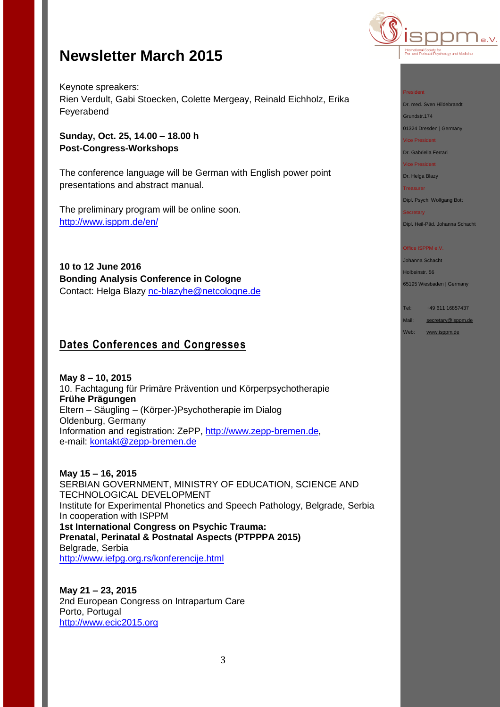

Keynote spreakers: Rien Verdult, Gabi Stoecken, Colette Mergeay, Reinald Eichholz, Erika Feyerabend

**Sunday, Oct. 25, 14.00 – 18.00 h Post-Congress-Workshops**

The conference language will be German with English power point presentations and abstract manual.

The preliminary program will be online soon. [http://www.isppm.de/en/](http://www.isppm.de/en/23-25-october-2015-annual-conference-in-berlin/)

**10 to 12 June 2016 Bonding Analysis Conference in Cologne** Contact: Helga Blazy [nc-blazyhe@netcologne.de](mailto:nc-blazyhe@netcologne.de)

## **Dates Conferences and Congresses**

**May 8 – 10, 2015** 10. Fachtagung für Primäre Prävention und Körperpsychotherapie **Frühe Prägungen** Eltern – Säugling – (Körper-)Psychotherapie im Dialog Oldenburg, Germany Information and registration: ZePP, [http://www.zepp-bremen.de,](http://www.zepp-bremen.de/) e-mail: [kontakt@zepp-bremen.de](mailto:kontakt@zepp-bremen.de)

**May 15 – 16, 2015** SERBIAN GOVERNMENT, MINISTRY OF EDUCATION, SCIENCE AND TECHNOLOGICAL DEVELOPMENT Institute for Experimental Phonetics and Speech Pathology, Belgrade, Serbia In cooperation with ISPPM **1st International Congress on Psychic Trauma: Prenatal, Perinatal & Postnatal Aspects (PTPPPA 2015)** Belgrade, Serbia <http://www.iefpg.org.rs/konferencije.html>

**May 21 – 23, 2015** 2nd European Congress on Intrapartum Care Porto, Portugal [http://www.ecic2015.org](http://www.ecic2015.org/)

#### President

Dr. med. Sven Hildebrandt

Grundstr.174

01324 Dresden | Germany Vice President

Dr. Gabriella Ferrari

Vice President

## Dr. Helga Blazy

Treasurer

Dipl. Psych. Wolfgang Bott

## **Secretary**

Dipl. Heil-Päd. Johanna Schacht

#### Office ISPPM e.V.

Johanna Schacht Holbeinstr. 56 65195 Wiesbaden | Germany

Tel: +49 611 16857437 Mail: [secretary@isppm.de](mailto:secretary@isppm.de)

Web: [www.isppm.de](http://www.isppm.de/)